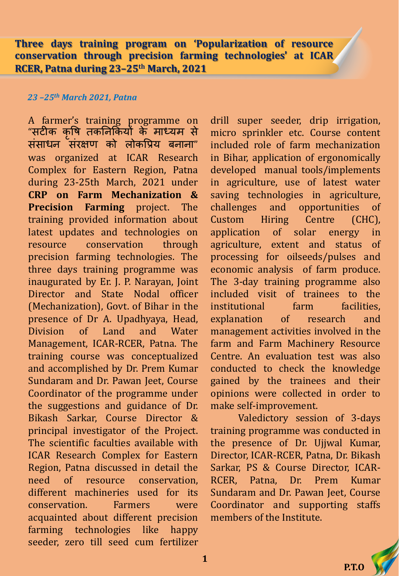**Three days training program on 'Popularization of resource conservation through precision farming technologies' at ICAR RCER, Patna during 23–25th March, 2021**

#### *23 –25th March 2021, Patna*

A farmer's training programme on "सटीक क ृ षि तकनिककयों के माध्यम से संसाधन संरक्षण को लोकप्रिय बनाना" was organized at ICAR Research Complex for Eastern Region, Patna during 23-25th March, 2021 under **CRP on Farm Mechanization & Precision Farming** project. The training provided information about latest updates and technologies on resource conservation through precision farming technologies. The three days training programme was inaugurated by Er. J. P. Narayan, Joint Director and State Nodal officer (Mechanization), Govt. of Bihar in the presence of Dr A. Upadhyaya, Head, Division of Land and Water Management, ICAR-RCER, Patna. The training course was conceptualized and accomplished by Dr. Prem Kumar Sundaram and Dr. Pawan Jeet, Course Coordinator of the programme under the suggestions and guidance of Dr. Bikash Sarkar, Course Director & principal investigator of the Project. The scientific faculties available with ICAR Research Complex for Eastern Region, Patna discussed in detail the need of resource conservation, different machineries used for its conservation. Farmers were acquainted about different precision farming technologies like happy seeder, zero till seed cum fertilizer

drill super seeder, drip irrigation, micro sprinkler etc. Course content included role of farm mechanization in Bihar, application of ergonomically developed manual tools/implements in agriculture, use of latest water saving technologies in agriculture, challenges and opportunities of Custom Hiring Centre (CHC), application of solar energy in agriculture, extent and status of processing for oilseeds/pulses and economic analysis of farm produce. The 3-day training programme also included visit of trainees to the institutional farm facilities. explanation of research and management activities involved in the farm and Farm Machinery Resource Centre. An evaluation test was also conducted to check the knowledge gained by the trainees and their opinions were collected in order to make self-improvement.

Valedictory session of 3-days training programme was conducted in the presence of Dr. Ujjwal Kumar, Director, ICAR-RCER, Patna, Dr. Bikash Sarkar, PS & Course Director, ICAR-RCER, Patna, Dr. Prem Kumar Sundaram and Dr. Pawan Jeet, Course Coordinator and supporting staffs members of the Institute.



**1**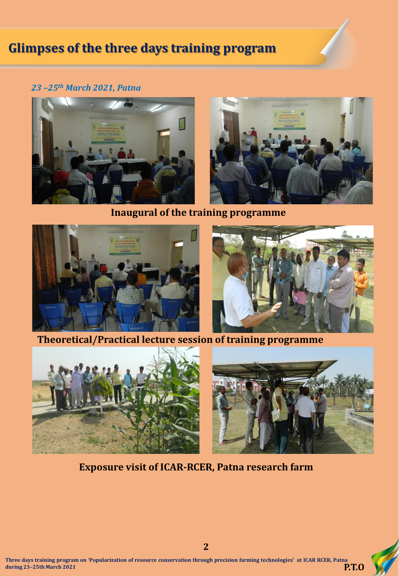# **Glimpses of the three days training program**

#### *23 –25th March 2021, Patna*



**Inaugural of the training programme**





**Theoretical/Practical lecture session of training programme**





### **Exposure visit of ICAR-RCER, Patna research farm**